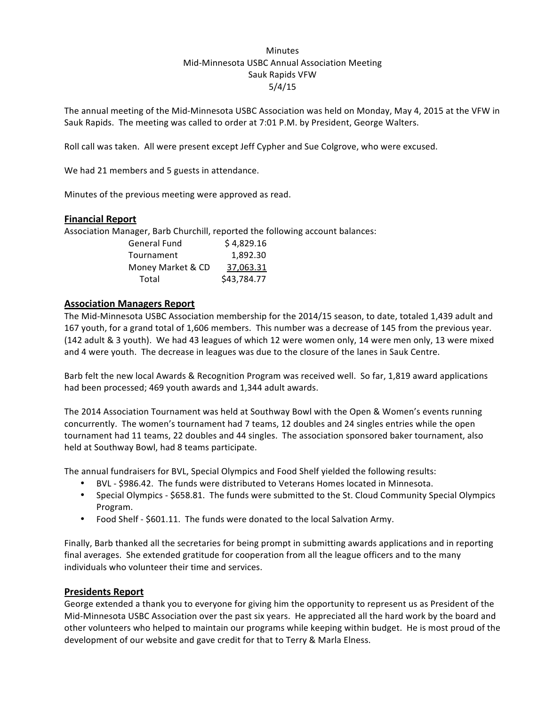# Minutes Mid-Minnesota USBC Annual Association Meeting Sauk Rapids VFW 5/4/15

The annual meeting of the Mid-Minnesota USBC Association was held on Monday, May 4, 2015 at the VFW in Sauk Rapids. The meeting was called to order at 7:01 P.M. by President, George Walters.

Roll call was taken. All were present except Jeff Cypher and Sue Colgrove, who were excused.

We had 21 members and 5 guests in attendance.

Minutes of the previous meeting were approved as read.

### **Financial Report**

Association Manager, Barb Churchill, reported the following account balances:

| <b>General Fund</b> | \$4,829.16  |
|---------------------|-------------|
| Tournament          | 1.892.30    |
| Money Market & CD   | 37.063.31   |
| Total               | \$43,784.77 |

# **Association Managers Report**

The Mid-Minnesota USBC Association membership for the 2014/15 season, to date, totaled 1,439 adult and 167 youth, for a grand total of 1,606 members. This number was a decrease of 145 from the previous year. (142 adult & 3 youth). We had 43 leagues of which 12 were women only, 14 were men only, 13 were mixed and 4 were youth. The decrease in leagues was due to the closure of the lanes in Sauk Centre.

Barb felt the new local Awards & Recognition Program was received well. So far, 1,819 award applications had been processed; 469 youth awards and 1,344 adult awards.

The 2014 Association Tournament was held at Southway Bowl with the Open & Women's events running concurrently. The women's tournament had 7 teams, 12 doubles and 24 singles entries while the open tournament had 11 teams, 22 doubles and 44 singles. The association sponsored baker tournament, also held at Southway Bowl, had 8 teams participate.

The annual fundraisers for BVL, Special Olympics and Food Shelf yielded the following results:

- BVL \$986.42. The funds were distributed to Veterans Homes located in Minnesota.
- Special Olympics \$658.81. The funds were submitted to the St. Cloud Community Special Olympics Program.
- Food Shelf \$601.11. The funds were donated to the local Salvation Army.

Finally, Barb thanked all the secretaries for being prompt in submitting awards applications and in reporting final averages. She extended gratitude for cooperation from all the league officers and to the many individuals who volunteer their time and services.

# **Presidents Report**

George extended a thank you to everyone for giving him the opportunity to represent us as President of the Mid-Minnesota USBC Association over the past six years. He appreciated all the hard work by the board and other volunteers who helped to maintain our programs while keeping within budget. He is most proud of the development of our website and gave credit for that to Terry & Marla Elness.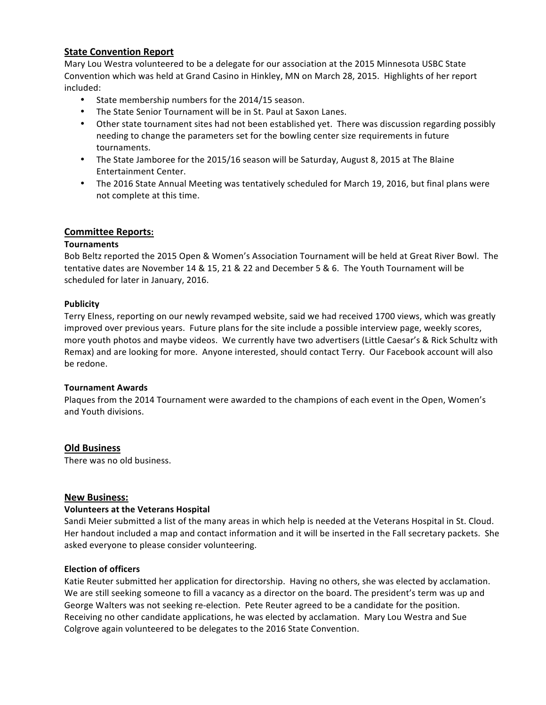# **State Convention Report**

Mary Lou Westra volunteered to be a delegate for our association at the 2015 Minnesota USBC State Convention which was held at Grand Casino in Hinkley, MN on March 28, 2015. Highlights of her report included:

- State membership numbers for the 2014/15 season.
- The State Senior Tournament will be in St. Paul at Saxon Lanes.
- Other state tournament sites had not been established yet. There was discussion regarding possibly needing to change the parameters set for the bowling center size requirements in future tournaments.
- The State Jamboree for the 2015/16 season will be Saturday, August 8, 2015 at The Blaine Entertainment Center.
- The 2016 State Annual Meeting was tentatively scheduled for March 19, 2016, but final plans were not complete at this time.

# **Committee Reports:**

# **Tournaments**

Bob Beltz reported the 2015 Open & Women's Association Tournament will be held at Great River Bowl. The tentative dates are November 14 & 15, 21 & 22 and December 5 & 6. The Youth Tournament will be scheduled for later in January, 2016.

### **Publicity**

Terry Elness, reporting on our newly revamped website, said we had received 1700 views, which was greatly improved over previous years. Future plans for the site include a possible interview page, weekly scores, more youth photos and maybe videos. We currently have two advertisers (Little Caesar's & Rick Schultz with Remax) and are looking for more. Anyone interested, should contact Terry. Our Facebook account will also be redone.

#### **Tournament Awards**

Plaques from the 2014 Tournament were awarded to the champions of each event in the Open, Women's and Youth divisions.

# **Old Business**

There was no old business.

# **New Business:**

#### **Volunteers at the Veterans Hospital**

Sandi Meier submitted a list of the many areas in which help is needed at the Veterans Hospital in St. Cloud. Her handout included a map and contact information and it will be inserted in the Fall secretary packets. She asked everyone to please consider volunteering.

#### **Election of officers**

Katie Reuter submitted her application for directorship. Having no others, she was elected by acclamation. We are still seeking someone to fill a vacancy as a director on the board. The president's term was up and George Walters was not seeking re-election. Pete Reuter agreed to be a candidate for the position. Receiving no other candidate applications, he was elected by acclamation. Mary Lou Westra and Sue Colgrove again volunteered to be delegates to the 2016 State Convention.